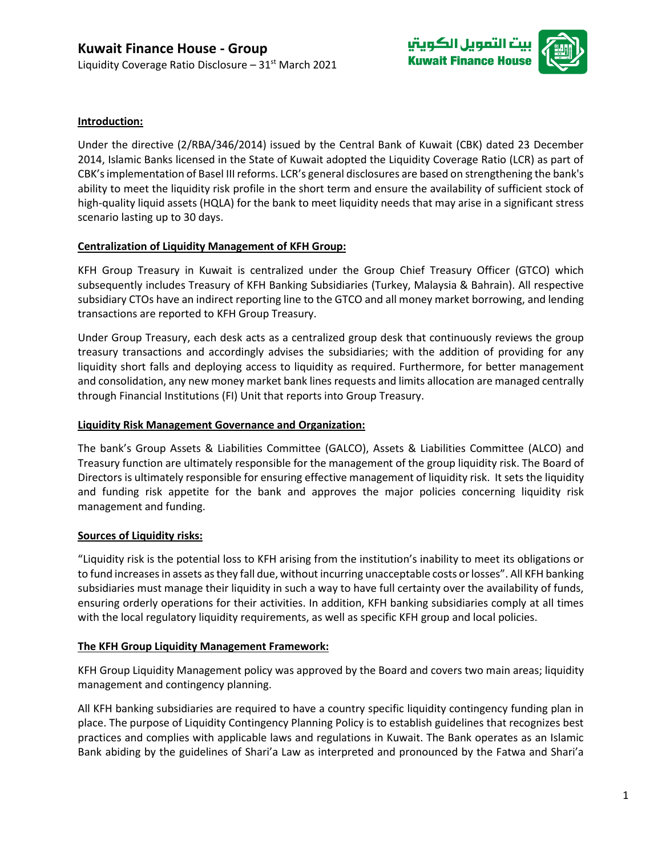

# **Introduction:**

Under the directive (2/RBA/346/2014) issued by the Central Bank of Kuwait (CBK) dated 23 December 2014, Islamic Banks licensed in the State of Kuwait adopted the Liquidity Coverage Ratio (LCR) as part of CBK's implementation of Basel III reforms. LCR's general disclosures are based on strengthening the bank's ability to meet the liquidity risk profile in the short term and ensure the availability of sufficient stock of high-quality liquid assets (HQLA) for the bank to meet liquidity needs that may arise in a significant stress scenario lasting up to 30 days.

### **Centralization of Liquidity Management of KFH Group:**

KFH Group Treasury in Kuwait is centralized under the Group Chief Treasury Officer (GTCO) which subsequently includes Treasury of KFH Banking Subsidiaries (Turkey, Malaysia & Bahrain). All respective subsidiary CTOs have an indirect reporting line to the GTCO and all money market borrowing, and lending transactions are reported to KFH Group Treasury.

Under Group Treasury, each desk acts as a centralized group desk that continuously reviews the group treasury transactions and accordingly advises the subsidiaries; with the addition of providing for any liquidity short falls and deploying access to liquidity as required. Furthermore, for better management and consolidation, any new money market bank lines requests and limits allocation are managed centrally through Financial Institutions (FI) Unit that reports into Group Treasury.

### **Liquidity Risk Management Governance and Organization:**

The bank's Group Assets & Liabilities Committee (GALCO), Assets & Liabilities Committee (ALCO) and Treasury function are ultimately responsible for the management of the group liquidity risk. The Board of Directors is ultimately responsible for ensuring effective management of liquidity risk. It sets the liquidity and funding risk appetite for the bank and approves the major policies concerning liquidity risk management and funding.

### **Sources of Liquidity risks:**

"Liquidity risk is the potential loss to KFH arising from the institution's inability to meet its obligations or to fund increases in assets as they fall due, without incurring unacceptable costs or losses". All KFH banking subsidiaries must manage their liquidity in such a way to have full certainty over the availability of funds, ensuring orderly operations for their activities. In addition, KFH banking subsidiaries comply at all times with the local regulatory liquidity requirements, as well as specific KFH group and local policies.

### **The KFH Group Liquidity Management Framework:**

KFH Group Liquidity Management policy was approved by the Board and covers two main areas; liquidity management and contingency planning.

All KFH banking subsidiaries are required to have a country specific liquidity contingency funding plan in place. The purpose of Liquidity Contingency Planning Policy is to establish guidelines that recognizes best practices and complies with applicable laws and regulations in Kuwait. The Bank operates as an Islamic Bank abiding by the guidelines of Shari'a Law as interpreted and pronounced by the Fatwa and Shari'a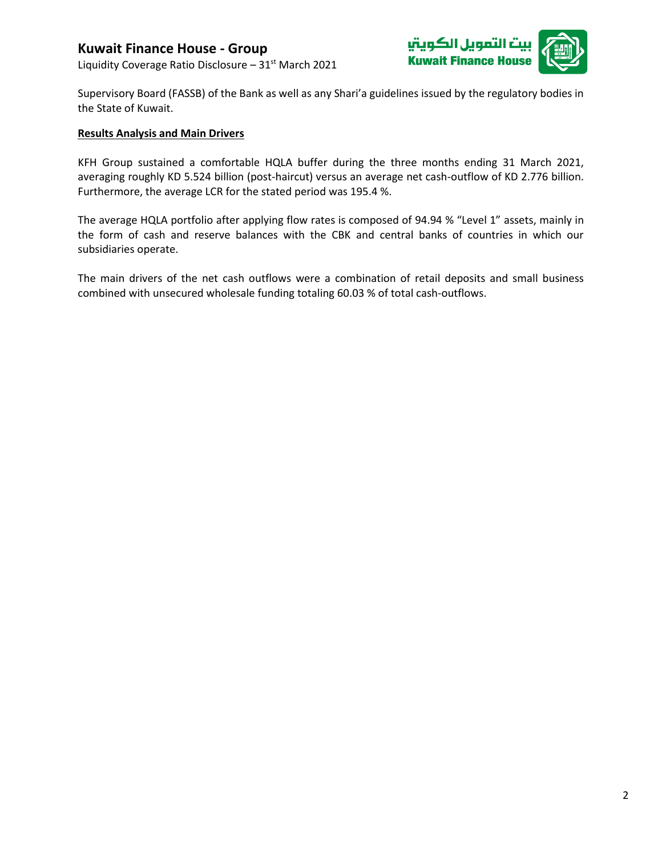## **Kuwait Finance House - Group**

Liquidity Coverage Ratio Disclosure -  $31<sup>st</sup>$  March 2021



Supervisory Board (FASSB) of the Bank as well as any Shari'a guidelines issued by the regulatory bodies in the State of Kuwait.

#### **Results Analysis and Main Drivers**

KFH Group sustained a comfortable HQLA buffer during the three months ending 31 March 2021, averaging roughly KD 5.524 billion (post-haircut) versus an average net cash-outflow of KD 2.776 billion. Furthermore, the average LCR for the stated period was 195.4 %.

The average HQLA portfolio after applying flow rates is composed of 94.94 % "Level 1" assets, mainly in the form of cash and reserve balances with the CBK and central banks of countries in which our subsidiaries operate.

The main drivers of the net cash outflows were a combination of retail deposits and small business combined with unsecured wholesale funding totaling 60.03 % of total cash-outflows.